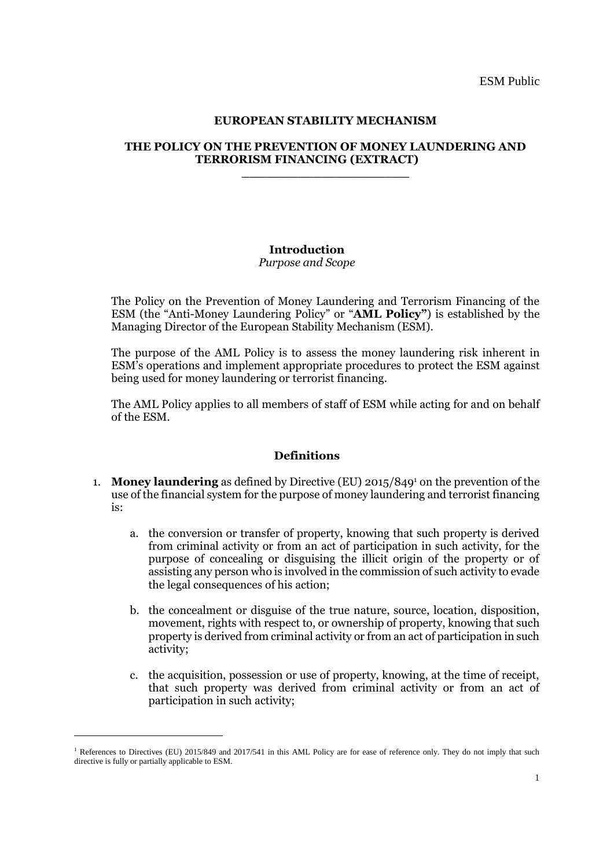ESM Public

#### **EUROPEAN STABILITY MECHANISM**

#### **THE POLICY ON THE PREVENTION OF MONEY LAUNDERING AND TERRORISM FINANCING (EXTRACT) \_\_\_\_\_\_\_\_\_\_\_\_\_\_\_\_\_\_\_\_\_**

### **Introduction**

### *Purpose and Scope*

The Policy on the Prevention of Money Laundering and Terrorism Financing of the ESM (the "Anti-Money Laundering Policy" or "**AML Policy"**) is established by the Managing Director of the European Stability Mechanism (ESM).

The purpose of the AML Policy is to assess the money laundering risk inherent in ESM's operations and implement appropriate procedures to protect the ESM against being used for money laundering or terrorist financing.

The AML Policy applies to all members of staff of ESM while acting for and on behalf of the ESM.

#### **Definitions**

- 1. **Money laundering** as defined by Directive (EU) 2015/849<sup>1</sup> on the prevention of the use of the financial system for the purpose of money laundering and terrorist financing  $i_{S}$ .
	- a. the conversion or transfer of property, knowing that such property is derived from criminal activity or from an act of participation in such activity, for the purpose of concealing or disguising the illicit origin of the property or of assisting any person who is involved in the commission of such activity to evade the legal consequences of his action;
	- b. the concealment or disguise of the true nature, source, location, disposition, movement, rights with respect to, or ownership of property, knowing that such property is derived from criminal activity or from an act of participation in such activity;
	- c. the acquisition, possession or use of property, knowing, at the time of receipt, that such property was derived from criminal activity or from an act of participation in such activity;

1

<sup>&</sup>lt;sup>1</sup> References to Directives (EU) 2015/849 and 2017/541 in this AML Policy are for ease of reference only. They do not imply that such directive is fully or partially applicable to ESM.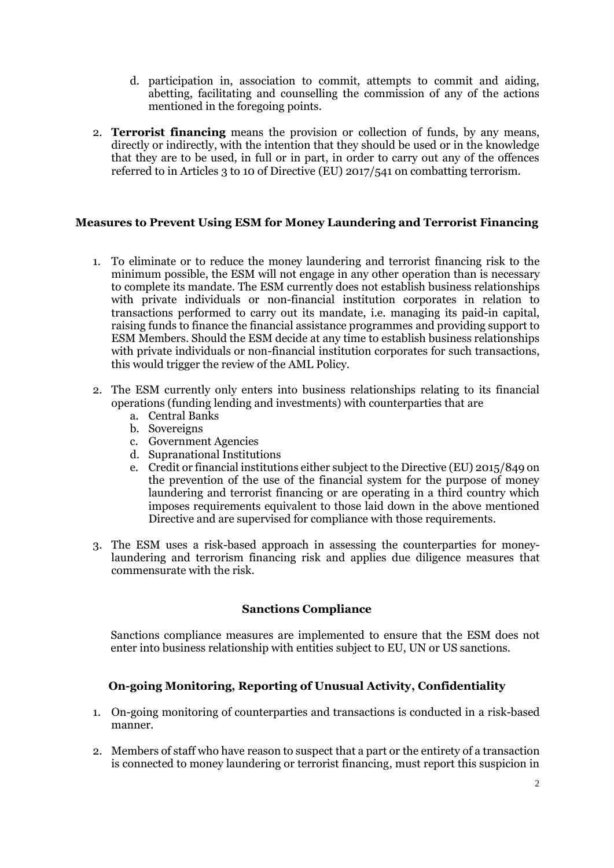- d. participation in, association to commit, attempts to commit and aiding, abetting, facilitating and counselling the commission of any of the actions mentioned in the foregoing points.
- 2. **Terrorist financing** means the provision or collection of funds, by any means, directly or indirectly, with the intention that they should be used or in the knowledge that they are to be used, in full or in part, in order to carry out any of the offences referred to in Articles 3 to 10 of Directive (EU) 2017/541 on combatting terrorism.

# **Measures to Prevent Using ESM for Money Laundering and Terrorist Financing**

- 1. To eliminate or to reduce the money laundering and terrorist financing risk to the minimum possible, the ESM will not engage in any other operation than is necessary to complete its mandate. The ESM currently does not establish business relationships with private individuals or non-financial institution corporates in relation to transactions performed to carry out its mandate, i.e. managing its paid-in capital, raising funds to finance the financial assistance programmes and providing support to ESM Members. Should the ESM decide at any time to establish business relationships with private individuals or non-financial institution corporates for such transactions, this would trigger the review of the AML Policy.
- 2. The ESM currently only enters into business relationships relating to its financial operations (funding lending and investments) with counterparties that are
	- a. Central Banks
	- b. Sovereigns
	- c. Government Agencies
	- d. Supranational Institutions
	- e. Credit or financial institutions either subject to the Directive (EU) 2015/849 on the prevention of the use of the financial system for the purpose of money laundering and terrorist financing or are operating in a third country which imposes requirements equivalent to those laid down in the above mentioned Directive and are supervised for compliance with those requirements.
- 3. The ESM uses a risk-based approach in assessing the counterparties for moneylaundering and terrorism financing risk and applies due diligence measures that commensurate with the risk.

### **Sanctions Compliance**

Sanctions compliance measures are implemented to ensure that the ESM does not enter into business relationship with entities subject to EU, UN or US sanctions.

# **On-going Monitoring, Reporting of Unusual Activity, Confidentiality**

- 1. On-going monitoring of counterparties and transactions is conducted in a risk-based manner.
- 2. Members of staff who have reason to suspect that a part or the entirety of a transaction is connected to money laundering or terrorist financing, must report this suspicion in